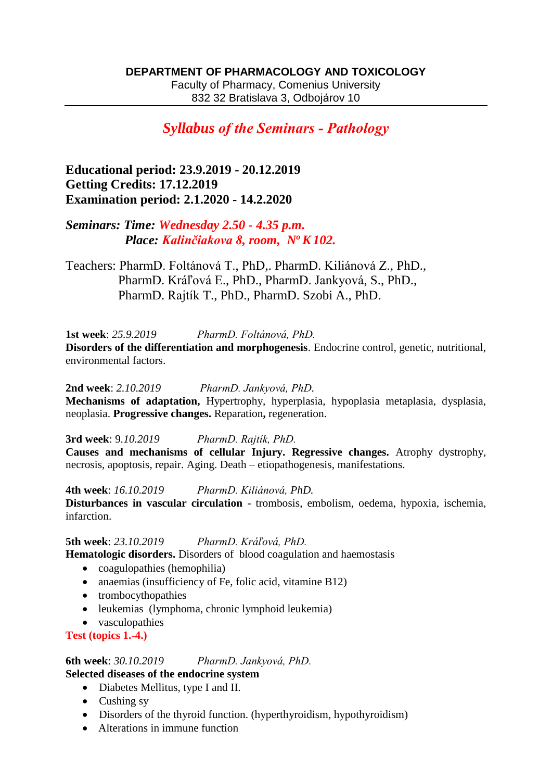Faculty of Pharmacy, Comenius University 832 32 Bratislava 3, Odbojárov 10

# *Syllabus of the Seminars - Pathology*

**Educational period: 23.9.2019 - 20.12.2019 Getting Credits: 17.12.2019 Examination period: 2.1.2020 - 14.2.2020**

*Seminars: Time: Wednesday 2.50 - 4.35 p.m. Place: Kalinčiakova 8, room, N<sup>o</sup>K102.* 

Teachers: PharmD. Foltánová T., PhD,. PharmD. Kiliánová Z., PhD., PharmD. Kráľová E., PhD., PharmD. Jankyová, S., PhD., PharmD. Rajtík T., PhD., PharmD. Szobi A., PhD.

**1st week**: *25.9.2019 PharmD. Foltánová, PhD.*

**Disorders of the differentiation and morphogenesis**. Endocrine control, genetic, nutritional, environmental factors.

**2nd week**: *2.10.2019 PharmD. Jankyová, PhD.* **Mechanisms of adaptation,** Hypertrophy, hyperplasia, hypoplasia metaplasia, dysplasia, neoplasia. **Progressive changes.** Reparation**,** regeneration.

**3rd week**: 9*.10.2019 PharmD. Rajtík, PhD.* **Causes and mechanisms of cellular Injury. Regressive changes.** Atrophy dystrophy, necrosis, apoptosis, repair. Aging. Death – etiopathogenesis, manifestations.

**4th week**: *16.10.2019 PharmD. Kiliánová, PhD.* **Disturbances in vascular circulation** - trombosis, embolism, oedema, hypoxia, ischemia, infarction.

**5th week**: *23.10.2019 PharmD. Kráľová, PhD.* **Hematologic disorders.** Disorders of blood coagulation and haemostasis

- coagulopathies (hemophilia)
- anaemias (insufficiency of Fe, folic acid, vitamine B12)
- trombocythopathies
- leukemias (lymphoma, chronic lymphoid leukemia)
- vasculopathies

**Test (topics 1.-4.)**

**6th week**: *30.10.2019 PharmD. Jankyová, PhD.* **Selected diseases of the endocrine system**

- Diabetes Mellitus, type I and II.
- Cushing sy
- Disorders of the thyroid function. (hyperthyroidism, hypothyroidism)
- Alterations in immune function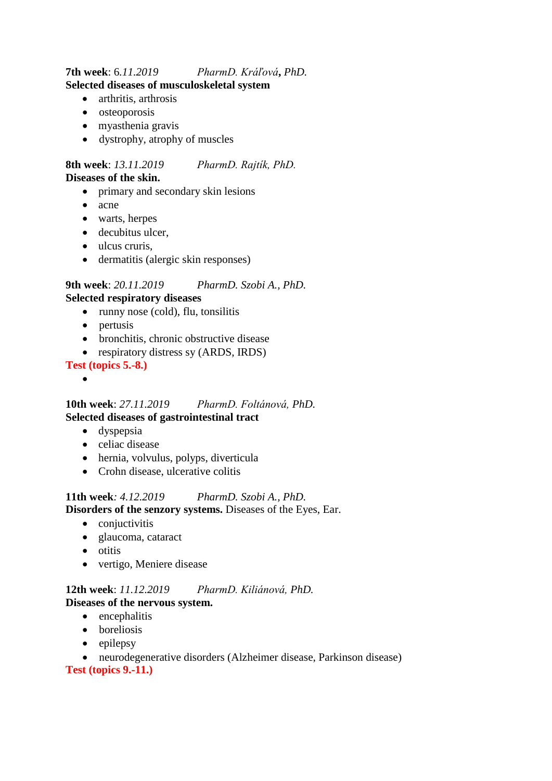### **7th week**: 6*.11.2019 PharmD. Kráľová***,** *PhD.* **Selected diseases of musculoskeletal system**

- arthritis, arthrosis
- osteoporosis
- myasthenia gravis
- dystrophy, atrophy of muscles

#### **8th week**: *13.11.2019 PharmD. Rajtík, PhD.* **Diseases of the skin.**

- primary and secondary skin lesions
- acne
- warts, herpes
- decubitus ulcer,
- ulcus cruris,
- dermatitis (alergic skin responses)

## **9th week**: *20.11.2019 PharmD. Szobi A., PhD.*

#### **Selected respiratory diseases**

- $\bullet$  runny nose (cold), flu, tonsilitis
- pertusis
- bronchitis, chronic obstructive disease
- respiratory distress sy (ARDS, IRDS)

#### **Test (topics 5.-8.)**

 $\bullet$ 

#### **10th week**: *27.11.2019 PharmD. Foltánová, PhD.* **Selected diseases of gastrointestinal tract**

- dyspepsia
- celiac disease
- hernia, volvulus, polyps, diverticula
- Crohn disease, ulcerative colitis

#### **11th week***: 4.12.2019 PharmD. Szobi A., PhD.* **Disorders of the senzory systems.** Diseases of the Eyes, Ear.

- conjuctivitis
- glaucoma, cataract
- otitis
- vertigo, Meniere disease

### **12th week**: *11.12.2019 PharmD. Kiliánová, PhD.* **Diseases of the nervous system.**

- encephalitis
- boreliosis
- $\bullet$  epilepsy
- neurodegenerative disorders (Alzheimer disease, Parkinson disease) **Test (topics 9.-11.)**